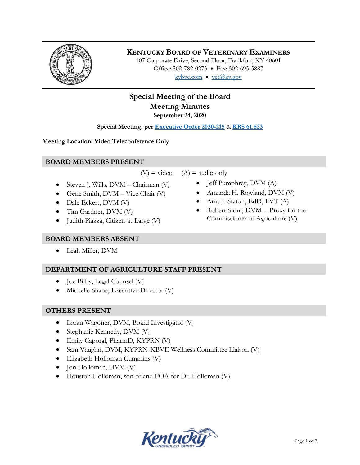

# **KENTUCKY BOARD OF VETERINARY EXAMINERS**

107 Corporate Drive, Second Floor, Frankfort, KY 40601 Office: 502-782-0273 • Fax: 502-695-5887 kybve.com  $\bullet$  yet@ky.gov

# **Special Meeting of the Board Meeting Minutes**

**September 24, 2020**

**Special Meeting, per [Executive Order 2020-215](https://governor.ky.gov/attachments/20200306_Executive-Order_2020-215.pdf)** & **[KRS 61.823](https://apps.legislature.ky.gov/law/statutes/statute.aspx?id=23047)**

**Meeting Location: Video Teleconference Only** 

### **BOARD MEMBERS PRESENT**

 $(V)$  = video  $(A)$  = audio only

- Steven J. Wills,  $DVM Chairman (V)$
- Gene Smith,  $DVM Vice$  Chair  $(V)$
- Dale Eckert, DVM (V)
- Tim Gardner, DVM (V)
- Judith Piazza, Citizen-at-Large (V)

# **BOARD MEMBERS ABSENT**

Leah Miller, DVM

# **DEPARTMENT OF AGRICULTURE STAFF PRESENT**

- Joe Bilby, Legal Counsel (V)
- Michelle Shane, Executive Director (V)

# **OTHERS PRESENT**

- Loran Wagoner, DVM, Board Investigator (V)
- Stephanie Kennedy, DVM (V)
- Emily Caporal, PharmD, KYPRN (V)
- Sam Vaughn, DVM, KYPRN-KBVE Wellness Committee Liaison (V)
- Elizabeth Holloman Cummins (V)
- $\bullet$  Jon Holloman, DVM (V)
- Houston Holloman, son of and POA for Dr. Holloman (V)



- $\bullet$  Jeff Pumphrey, DVM (A)
- Amanda H. Rowland, DVM (V)
- Amy J. Staton, EdD, LVT (A)
- Robert Stout, DVM -- Proxy for the Commissioner of Agriculture (V)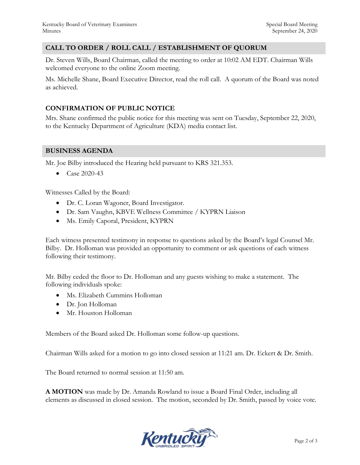#### **CALL TO ORDER / ROLL CALL / ESTABLISHMENT OF QUORUM**

Dr. Steven Wills, Board Chairman, called the meeting to order at 10:02 AM EDT. Chairman Wills welcomed everyone to the online Zoom meeting.

Ms. Michelle Shane, Board Executive Director, read the roll call. A quorum of the Board was noted as achieved.

#### **CONFIRMATION OF PUBLIC NOTICE**

Mrs. Shane confirmed the public notice for this meeting was sent on Tuesday, September 22, 2020, to the Kentucky Department of Agriculture (KDA) media contact list.

#### **BUSINESS AGENDA**

Mr. Joe Bilby introduced the Hearing held pursuant to KRS 321.353.

• Case 2020-43

Witnesses Called by the Board:

- Dr. C. Loran Wagoner, Board Investigator.
- Dr. Sam Vaughn, KBVE Wellness Committee / KYPRN Liaison
- Ms. Emily Caporal, President, KYPRN

Each witness presented testimony in response to questions asked by the Board's legal Counsel Mr. Bilby. Dr. Holloman was provided an opportunity to comment or ask questions of each witness following their testimony.

Mr. Bilby ceded the floor to Dr. Holloman and any guests wishing to make a statement. The following individuals spoke:

- Ms. Elizabeth Cummins Holloman
- Dr. Jon Holloman
- Mr. Houston Holloman

Members of the Board asked Dr. Holloman some follow-up questions.

Chairman Wills asked for a motion to go into closed session at 11:21 am. Dr. Eckert & Dr. Smith.

The Board returned to normal session at 11:50 am.

**A MOTION** was made by Dr. Amanda Rowland to issue a Board Final Order, including all elements as discussed in closed session. The motion, seconded by Dr. Smith, passed by voice vote.

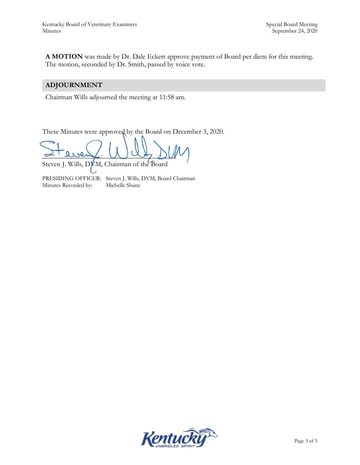**A MOTION** was made by Dr. Dale Eckert approve payment of Board per diem for this meeting. The motion, seconded by Dr. Smith, passed by voice vote.

## **ADJOURNMENT**

Chairman Wills adjourned the meeting at 11:58 am.

These Minutes were approved by the Board on December 3, 2020.

 $\alpha$  event.  $\omega$  as  $\omega$ 

Steven J. Wills, DVM, Chairman of the Board

PRESIDING OFFICER: Steven J. Wills, DVM, Board Chairman Minutes Recorded by: Michelle Shane